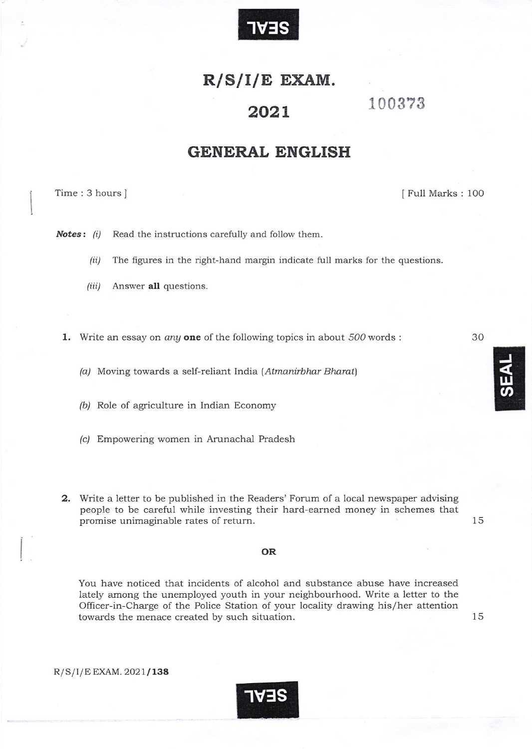

# $R/S/I/E$  EXAM.

#### 202L

## 100373

## GENERAL ENGLISH

Time: 3 hours ] Time: 3 hours ]

**Notes:** (i) Read the instructions carefully and follow them.

- $(ii)$  The figures in the right-hand margin indicate full marks for the questions.
- $(iii)$  Answer all questions.

1. Write an essay on *any* one of the following topics in about  $500$  words :

(a) Moving towards a self-reliant India (Atmanirbhar Bharat)

(b) Role of agriculture in Indian Economy

- (c) Empowering women in Arunachal Pradesh
- 2. Write a letter to be published in the Readers'Forum of a local newspaper advising people to be careful while investing their hard-earned money in schemes that promise unimaginable rates of return. 15

15

#### OR

You have noticed that incidents of alcohol and substance abuse have increased lately among the unemployed youth in your neighbourhood. Write a letter to the Officer in Charge of the Police Station of your locality drawing his/her attention towards the menace created by such situation.

 $R/S/I/E$  EXAM. 2021/138



30

J

 $\mathbf{\overline{\mathbf{u}}}$  $\overline{S}$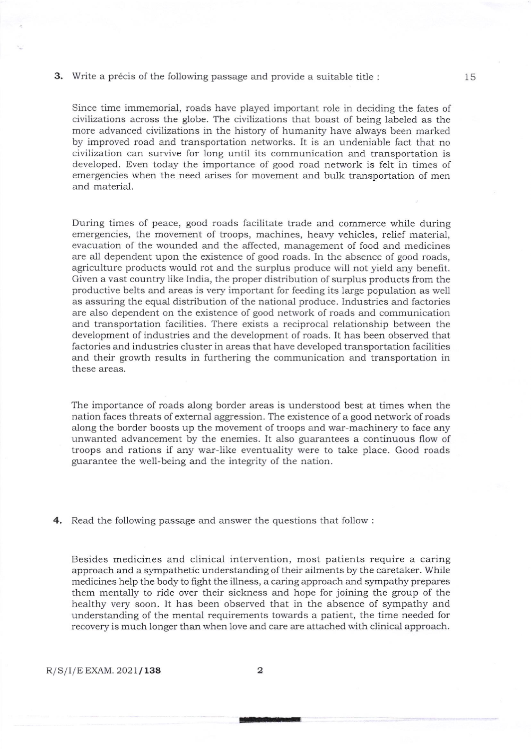#### 3. Write a précis of the following passage and provide a suitable title :

Since time immemorial, roads have played important role in deciding the fates of civilizations across the globe. The civilizations that boast of being labeled as the more advanced civilizations in the history of humanity have always been marked by improved road and transportation networks. lt is an undeniable fact that no civilization can survive for long until its communication and transportation is developed. Even today the importance of good road network is felt in times of emergencies when the need arises for movement and bulk transportation of men and material.

During times of peace, good roads facilitate trade and commerce while during emergencies, the movement of troops, machines, heavy vehicles, relief material, evacuation of the wounded and the affected, management of food and medicines are all dependent upon the existence of good roads. In the absence of good roads, agriculture products would rot and the surplus produce will not yield any benefit. Given a vast country like India, the proper distribution of surplus products from the productive belts and areas is very important for feeding its large population as well as assuring the equal distribution of the national produce. Industries and factories are also dependent on the existence of good network of roads and communication and transportation facilities. There exists a reciprocal relationship between the development of industries and the development of roads. It has been observed that factories and industries cluster in areas that have developed transportation facilities and their growth results in furthering the communication and transportation in these areas.

The importance of roads along border areas is understood best at times when the nation faces threats of external aggression. The existence of a good network of roads along the border boosts up the movement of troops and war-machinery to face any unwanted advancement by the enemies. It also guarantees a continuous flow of troops and rations if any war-like eventuality were to take place. Good roads guarantee the well-being and the integrity of the nation.

4. Read the following passage and answer the questions that follow:

Besides medicines and clinical intervention, most patients require a caring approach and a sympathetic understanding of their ailments by the caretaker. While medicines help the body to fight the illness, a caring approach and sympathy prepares them mentally to ride over their sickness and hope for joining the group of the healthy very soon. It has been observed that in the absence of sympathy and understanding of the mental requirements towards a patient, the time needed for recovery is much longer than when love and care are attached with clinical approach.

ri-t-E-